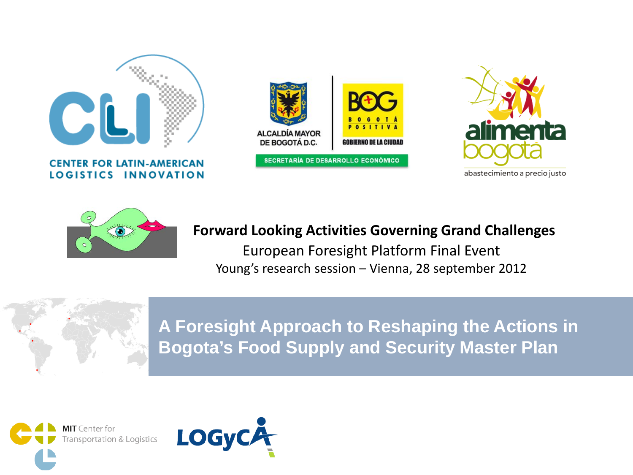

**CENTER FOR LATIN-AMERICAN** LOGISTICS INNOVATION







#### **Forward Looking Activities Governing Grand Challenges**

European Foresight Platform Final Event Young's research session – Vienna, 28 september 2012



**A Foresight Approach to Reshaping the Actions in Bogota's Food Supply and Security Master Plan**



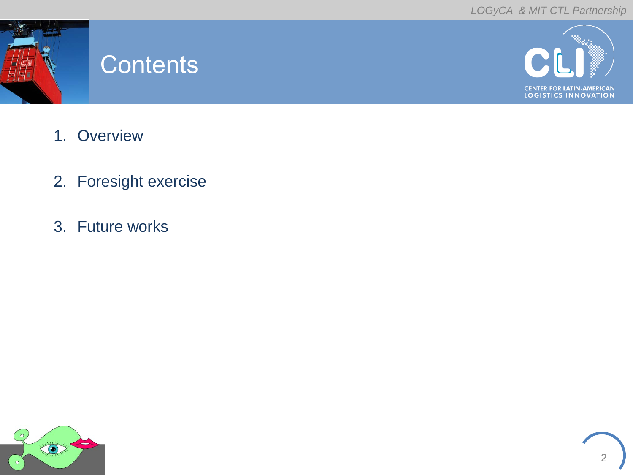

#### **Contents**



- 1. Overview
- 2. Foresight exercise
- 3. Future works

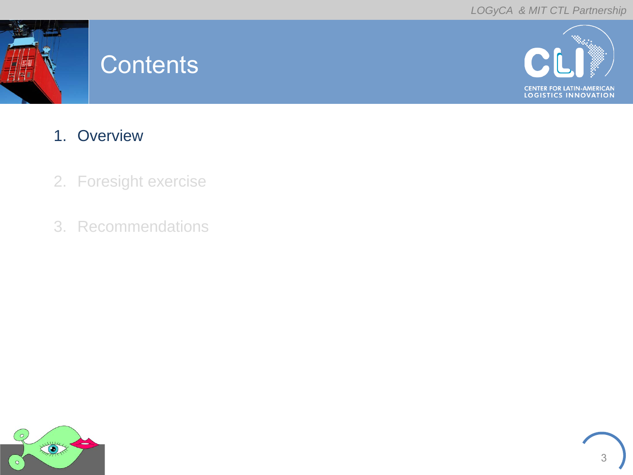

#### **Contents**



- 1. Overview
- 2. Foresight exercise
- 3. Recommendations

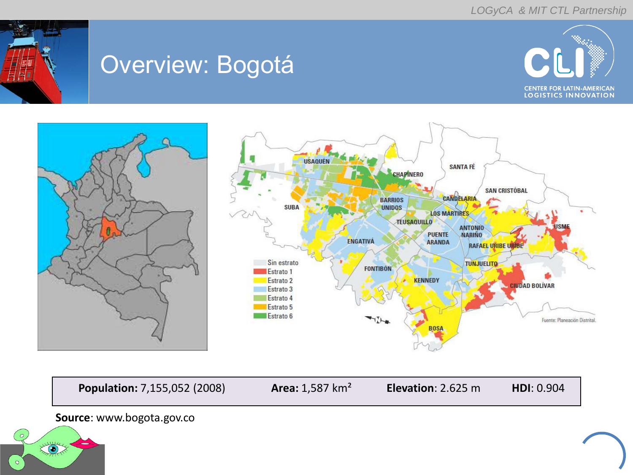

### Overview: Bogotá







**Population:** 7,155,052 (2008) **Area:** 1,587 km² **Elevation**: 2.625 m **HDI**: 0.904

#### **Source**: www.bogota.gov.co

 $\circ$ 

 $\sum_{i=1}^{\infty}$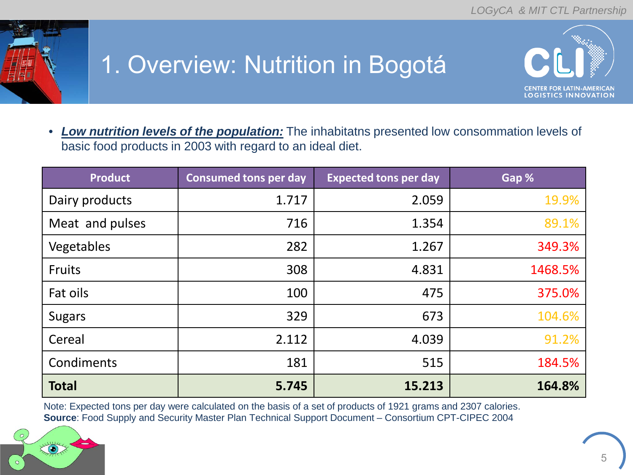

# 1. Overview: Nutrition in Bogotá



• *Low nutrition levels of the population:* The inhabitatns presented low consommation levels of basic food products in 2003 with regard to an ideal diet.

| <b>Product</b>  | <b>Consumed tons per day</b> | <b>Expected tons per day</b> | Gap %   |
|-----------------|------------------------------|------------------------------|---------|
| Dairy products  | 1.717                        | 2.059                        | 19.9%   |
| Meat and pulses | 716                          | 1.354                        | 89.1%   |
| Vegetables      | 282                          | 1.267                        | 349.3%  |
| <b>Fruits</b>   | 308                          | 4.831                        | 1468.5% |
| Fat oils        | 100                          | 475                          | 375.0%  |
| <b>Sugars</b>   | 329                          | 673                          | 104.6%  |
| Cereal          | 2.112                        | 4.039                        | 91.2%   |
| Condiments      | 181                          | 515                          | 184.5%  |
| <b>Total</b>    | 5.745                        | 15.213                       | 164.8%  |

Note: Expected tons per day were calculated on the basis of a set of products of 1921 grams and 2307 calories. **Source**: Food Supply and Security Master Plan Technical Support Document – Consortium CPT-CIPEC 2004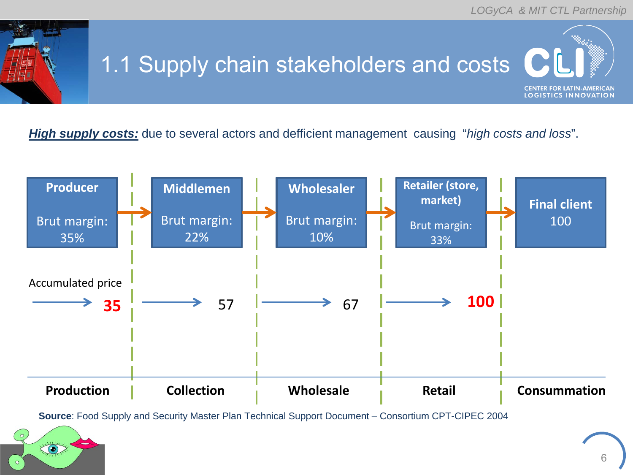

# 1.1 Supply chain stakeholders and costs

**CENTER FOR LATIN-AMERICAN LOGISTICS INNOVATION** 

*High supply costs:* due to several actors and defficient management causing "*high costs and loss*".



**Source**: Food Supply and Security Master Plan Technical Support Document – Consortium CPT-CIPEC 2004

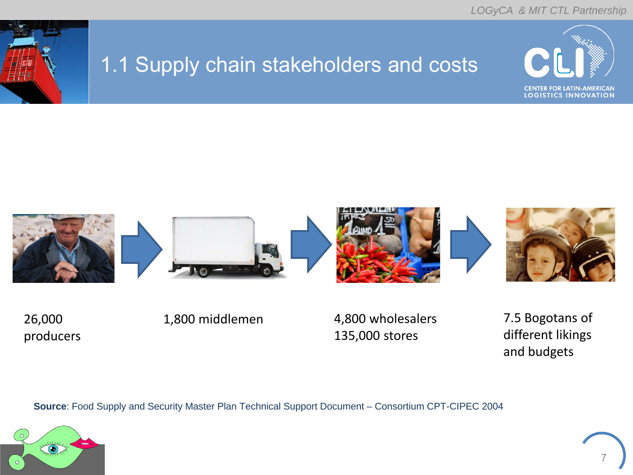

#### 1.1 Supply chain stakeholders and costs





26,000 producers

1,800 middlemen 4,800 wholesalers 135,000 stores

7.5 Bogotans of different likings and budgets

**Source**: Food Supply and Security Master Plan Technical Support Document – Consortium CPT-CIPEC 2004

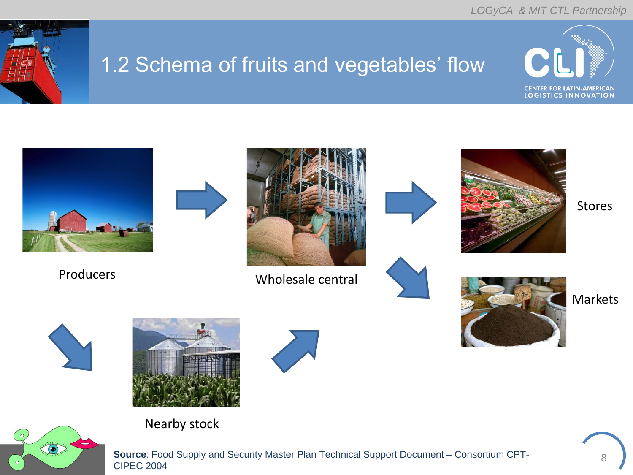

#### 1.2 Schema of fruits and vegetables' flow







**Source**: Food Supply and Security Master Plan Technical Support Document – Consortium CPT-CIPEC 2004

8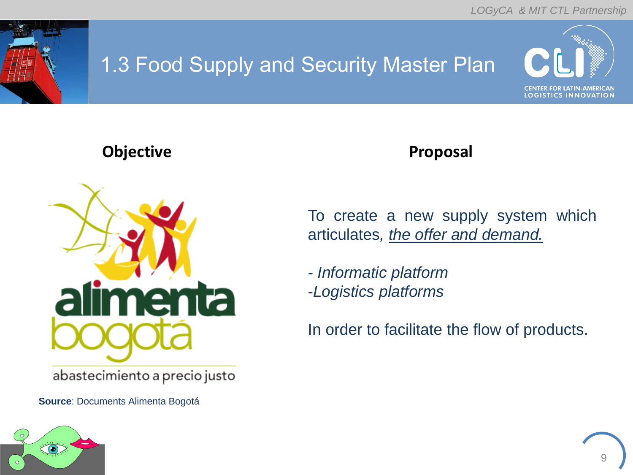

#### 1.3 Food Supply and Security Master Plan



#### **Objective Community Community Community Proposal**



abastecimiento a precio justo

**Source**: Documents Alimenta Bogotá

To create a new supply system which articulates*, the offer and demand.*

*- Informatic platform* -*Logistics platforms*

In order to facilitate the flow of products.



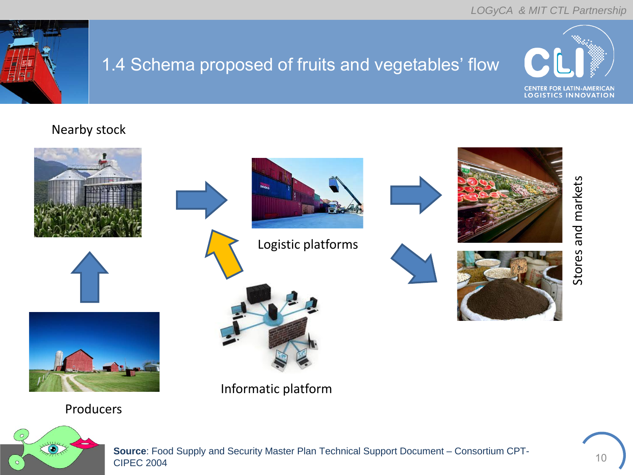

#### 1.4 Schema proposed of fruits and vegetables' flow



#### Nearby stock









Logistic platforms







Producers

Informatic platform



**Source**: Food Supply and Security Master Plan Technical Support Document – Consortium CPT-CIPEC 2004

10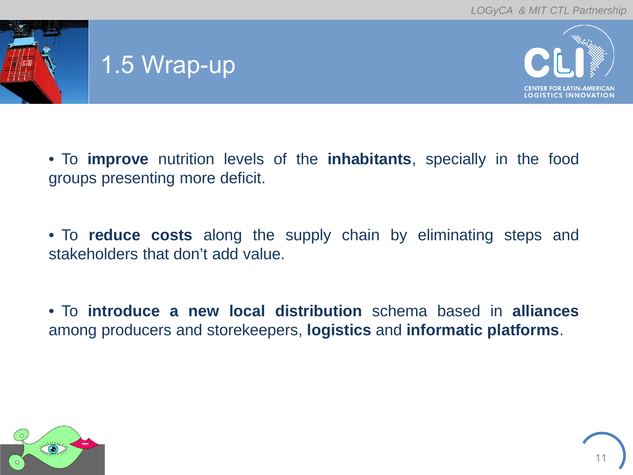

### 1.5 Wrap-up



• To **improve** nutrition levels of the **inhabitants**, specially in the food groups presenting more deficit.

• To **reduce costs** along the supply chain by eliminating steps and stakeholders that don't add value.

• To **introduce a new local distribution** schema based in **alliances** among producers and storekeepers, **logistics** and **informatic platforms**.

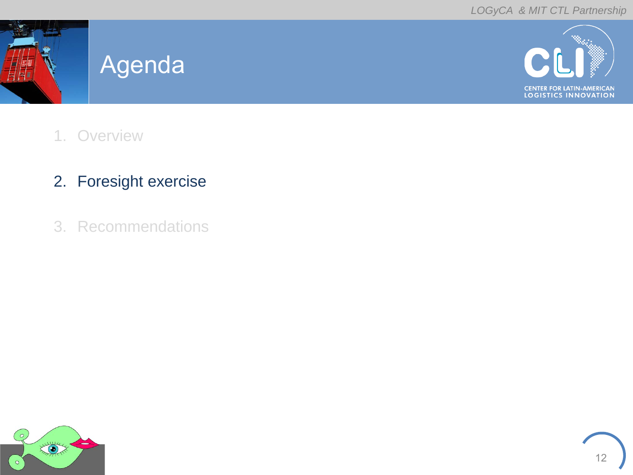

#### Agenda



- 1. Overview
- 2. Foresight exercise
- 3. Recommendations

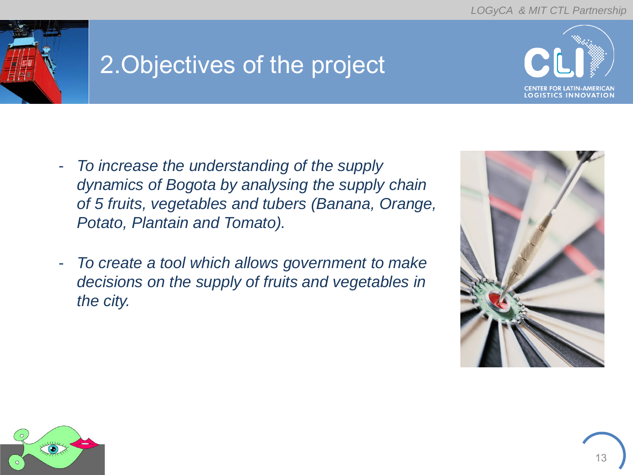

## 2.Objectives of the project



- *To increase the understanding of the supply dynamics of Bogota by analysing the supply chain of 5 fruits, vegetables and tubers (Banana, Orange, Potato, Plantain and Tomato).*
- *To create a tool which allows government to make decisions on the supply of fruits and vegetables in the city.*



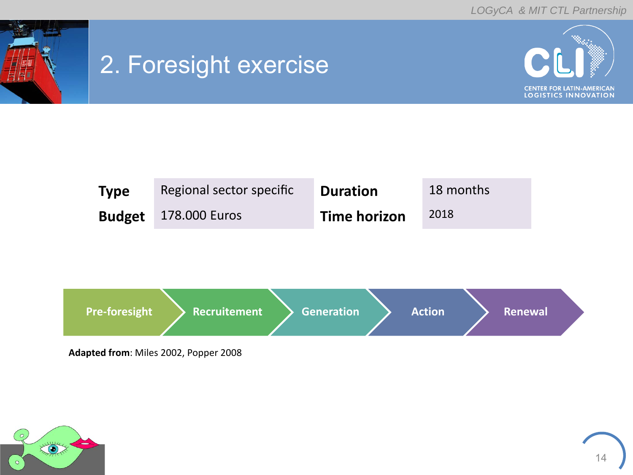

### 2. Foresight exercise







**Adapted from**: Miles 2002, Popper 2008



14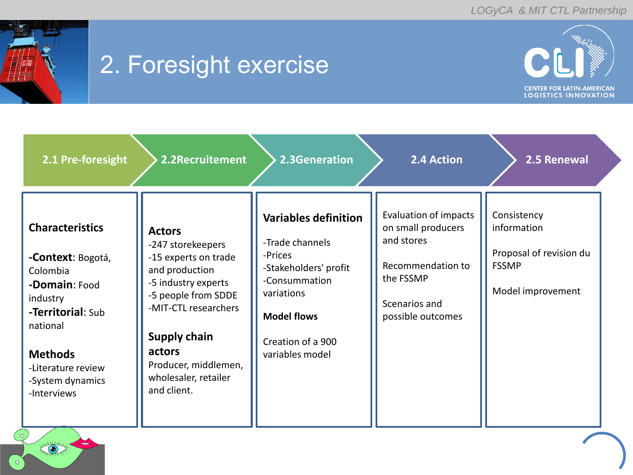

### 2. Foresight exercise



| 2.1 Pre-foresight                                                                                                                                                                                | 2.2Recruitement                                                                                                                                                                                                                                    | 2.3Generation                                                                                                                                                                   | 2.4 Action                                                                                                                               | 2.5 Renewal                                                                                |
|--------------------------------------------------------------------------------------------------------------------------------------------------------------------------------------------------|----------------------------------------------------------------------------------------------------------------------------------------------------------------------------------------------------------------------------------------------------|---------------------------------------------------------------------------------------------------------------------------------------------------------------------------------|------------------------------------------------------------------------------------------------------------------------------------------|--------------------------------------------------------------------------------------------|
| <b>Characteristics</b><br>-Context: Bogotá,<br>Colombia<br>-Domain: Food<br>industry<br>-Territorial: Sub<br>national<br><b>Methods</b><br>-Literature review<br>-System dynamics<br>-Interviews | <b>Actors</b><br>-247 storekeepers<br>-15 experts on trade<br>and production<br>-5 industry experts<br>-5 people from SDDE<br>-MIT-CTL researchers<br><b>Supply chain</b><br>actors<br>Producer, middlemen,<br>wholesaler, retailer<br>and client. | <b>Variables definition</b><br>-Trade channels<br>-Prices<br>-Stakeholders' profit<br>-Consummation<br>variations<br><b>Model flows</b><br>Creation of a 900<br>variables model | <b>Evaluation of impacts</b><br>on small producers<br>and stores<br>Recommendation to<br>the FSSMP<br>Scenarios and<br>possible outcomes | Consistency<br>information<br>Proposal of revision du<br><b>FSSMP</b><br>Model improvement |

XXXX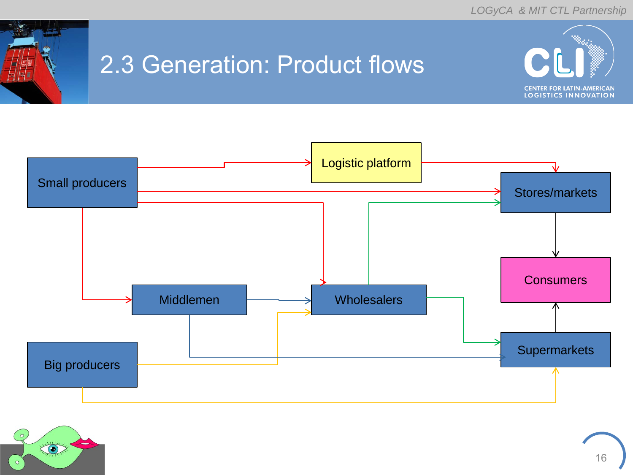

### 2.3 Generation: Product flows



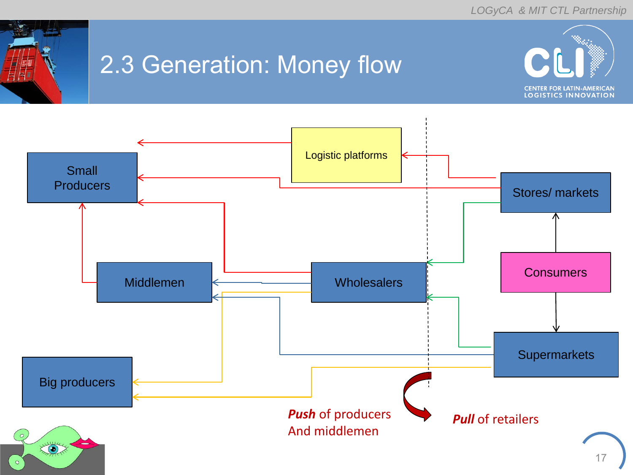

### 2.3 Generation: Money flow



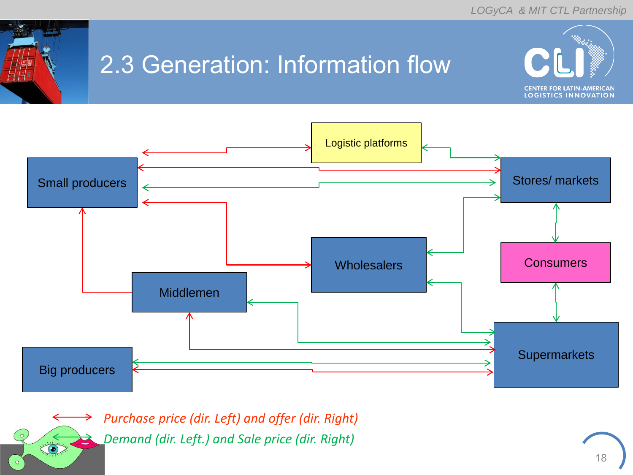

 $\left( \bullet \right)$ 

# 2.3 Generation: Information flow





*Purchase price (dir. Left) and offer (dir. Right) Demand (dir. Left.) and Sale price (dir. Right)*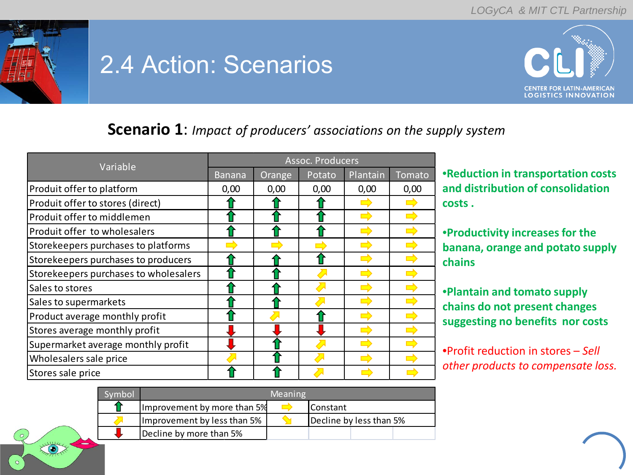

# 2.4 Action: Scenarios



#### **Scenario 1**: *Impact of producers' associations on the supply system*

|                                       | Assoc. Producers |        |        |          |        |  |
|---------------------------------------|------------------|--------|--------|----------|--------|--|
| Variable                              | <b>Banana</b>    | Orange | Potato | Plantain | Tomato |  |
| Produit offer to platform             | 0,00             | 0,00   | 0,00   | 0,00     | 0,00   |  |
| Produit offer to stores (direct)      |                  |        |        |          |        |  |
| Produit offer to middlemen            |                  |        |        |          |        |  |
| Produit offer to wholesalers          |                  |        |        |          |        |  |
| Storekeepers purchases to platforms   |                  |        |        |          |        |  |
| Storekeepers purchases to producers   |                  |        |        |          |        |  |
| Storekeepers purchases to wholesalers |                  |        |        |          |        |  |
| Sales to stores                       |                  |        |        |          |        |  |
| Sales to supermarkets                 |                  |        |        |          |        |  |
| Product average monthly profit        |                  |        |        |          |        |  |
| Stores average monthly profit         |                  |        |        |          |        |  |
| Supermarket average monthly profit    |                  |        |        |          |        |  |
| Wholesalers sale price                |                  |        |        |          |        |  |
| Stores sale price                     |                  |        |        |          |        |  |

•**Reduction in transportation costs and distribution of consolidation costs .**

•**Productivity increases for the banana, orange and potato supply chains**

•**Plantain and tomato supply chains do not present changes suggesting no benefits nor costs**

•Profit reduction in stores – *Sell other products to compensate loss.*

| svmbol |                             | <b>Meaning</b> |                         |
|--------|-----------------------------|----------------|-------------------------|
|        | Improvement by more than 5% |                | <b>Constant</b>         |
|        | Improvement by less than 5% |                | Decline by less than 5% |
|        | Decline by more than 5%     |                |                         |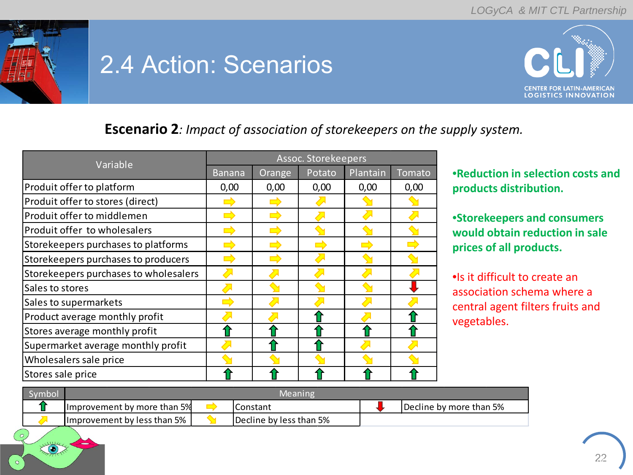

# 2.4 Action: Scenarios



#### **Escenario 2***: Impact of association of storekeepers on the supply system.*

| Variable                              | Assoc. Storekeepers |        |        |          |        |  |
|---------------------------------------|---------------------|--------|--------|----------|--------|--|
|                                       | <b>Banana</b>       | Orange | Potato | Plantain | Tomato |  |
| Produit offer to platform             | 0,00                | 0,00   | 0,00   | 0,00     | 0,00   |  |
| Produit offer to stores (direct)      |                     |        |        |          |        |  |
| Produit offer to middlemen            |                     |        |        |          |        |  |
| Produit offer to wholesalers          |                     |        |        |          |        |  |
| Storekeepers purchases to platforms   |                     |        |        |          |        |  |
| Storekeepers purchases to producers   |                     |        |        |          |        |  |
| Storekeepers purchases to wholesalers |                     |        |        |          |        |  |
| Sales to stores                       |                     |        |        |          |        |  |
| Sales to supermarkets                 |                     |        |        |          |        |  |
| Product average monthly profit        |                     |        |        |          |        |  |
| Stores average monthly profit         |                     |        |        |          |        |  |
| Supermarket average monthly profit    |                     |        |        |          |        |  |
| Wholesalers sale price                |                     |        |        |          |        |  |
| Stores sale price                     |                     |        |        |          |        |  |

•**Reduction in selection costs and products distribution.**

•**Storekeepers and consumers would obtain reduction in sale prices of all products.**

•Is it difficult to create an association schema where a central agent filters fruits and vegetables.

| Symbol | Meaning                           |  |                         |  |                         |
|--------|-----------------------------------|--|-------------------------|--|-------------------------|
|        | IImprovement by more than 5%      |  | Constant                |  | Decline by more than 5% |
|        | Ilmprovement by less than 5% $_1$ |  | Decline by less than 5% |  |                         |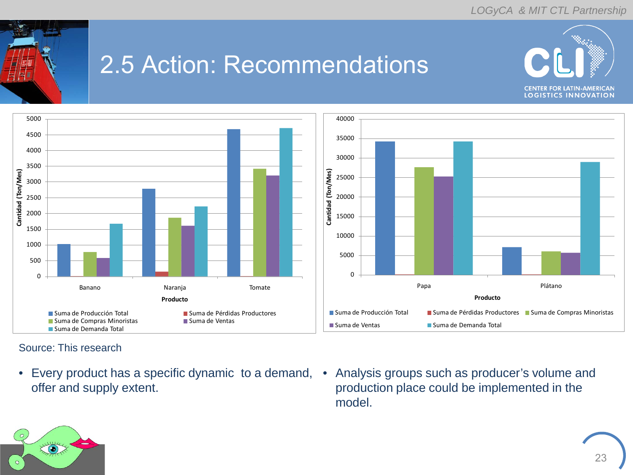

# 2.5 Action: Recommendations





Source: This research

- Every product has a specific dynamic to a demand, Analysis groups such as producer's volume and offer and supply extent.
- production place could be implemented in the model.

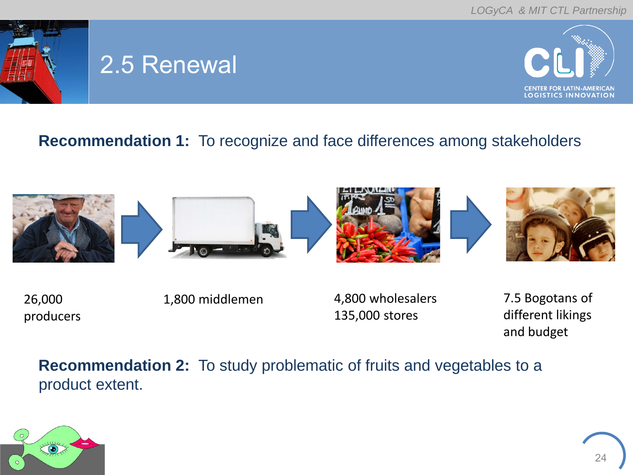

# 2.5 Renewal



#### **Recommendation 1:** To recognize and face differences among stakeholders



26,000 producers

1,800 middlemen 4,800 wholesalers 135,000 stores

7.5 Bogotans of different likings and budget

**Recommendation 2:** To study problematic of fruits and vegetables to a product extent.

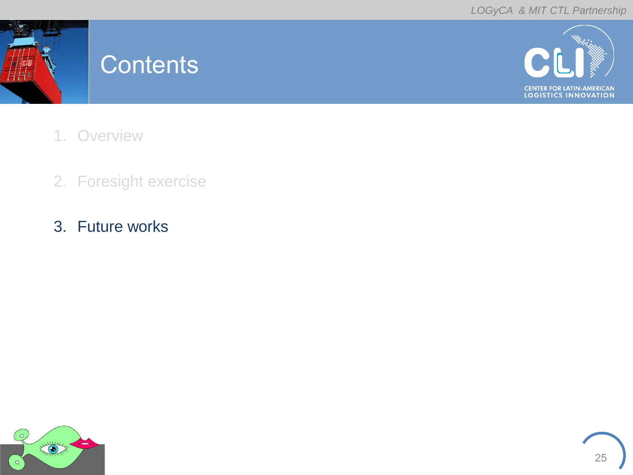

#### **Contents**



- 1. Overview
- 2. Foresight exercise
- 3. Future works